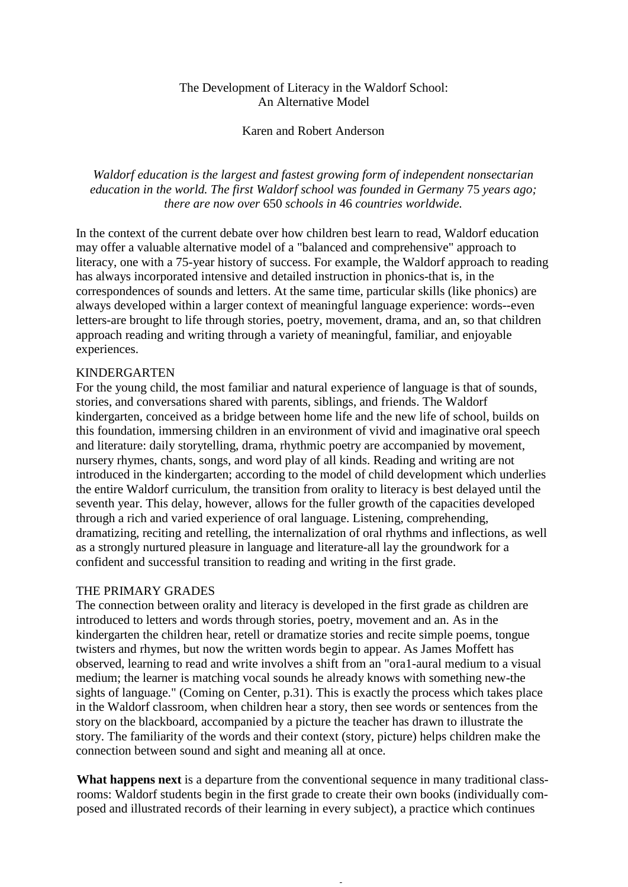## The Development of Literacy in the Waldorf School: An Alternative Model

## Karen and Robert Anderson

*Waldorf education is the largest and fastest growing form of independent nonsectarian education in the world. The first Waldorf school was founded in Germany 75 years ago; there are now over* 650 *schools in* 46 *countries worldwide.*

In the context of the current debate over how children best learn to read, Waldorf education may offer a valuable alternative model of a "balanced and comprehensive" approach to literacy, one with a 75-year history of success. For example, the Waldorf approach to reading has always incorporated intensive and detailed instruction in phonics-that is, in the correspondences of sounds and letters. At the same time, particular skills (like phonics) are always developed within a larger context of meaningful language experience: words--even letters-are brought to life through stories, poetry, movement, drama, and an, so that children approach reading and writing through a variety of meaningful, familiar, and enjoyable experiences.

## KINDERGARTEN

For the young child, the most familiar and natural experience of language is that of sounds, stories, and conversations shared with parents, siblings, and friends. The Waldorf kindergarten, conceived as a bridge between home life and the new life of school, builds on this foundation, immersing children in an environment of vivid and imaginative oral speech and literature: daily storytelling, drama, rhythmic poetry are accompanied by movement, nursery rhymes, chants, songs, and word play of all kinds. Reading and writing are not introduced in the kindergarten; according to the model of child development which underlies the entire Waldorf curriculum, the transition from orality to literacy is best delayed until the seventh year. This delay, however, allows for the fuller growth of the capacities developed through a rich and varied experience of oral language. Listening, comprehending, dramatizing, reciting and retelling, the internalization of oral rhythms and inflections, as well as a strongly nurtured pleasure in language and literature-all lay the groundwork for a confident and successful transition to reading and writing in the first grade.

## THE PRIMARY GRADES

The connection between orality and literacy is developed in the first grade as children are introduced to letters and words through stories, poetry, movement and an. As in the kindergarten the children hear, retell or dramatize stories and recite simple poems, tongue twisters and rhymes, but now the written words begin to appear. As James Moffett has observed, learning to read and write involves a shift from an "ora1-aural medium to a visual medium; the learner is matching vocal sounds he already knows with something new-the sights of language." (Coming on Center, p.31). This is exactly the process which takes place in the Waldorf classroom, when children hear a story, then see words or sentences from the story on the blackboard, accompanied by a picture the teacher has drawn to illustrate the story. The familiarity of the words and their context (story, picture) helps children make the connection between sound and sight and meaning all at once.

What happens next is a departure from the conventional sequence in many traditional classrooms: Waldorf students begin in the first grade to create their own books (individually composed and illustrated records of their learning in every subject), a practice which continues

-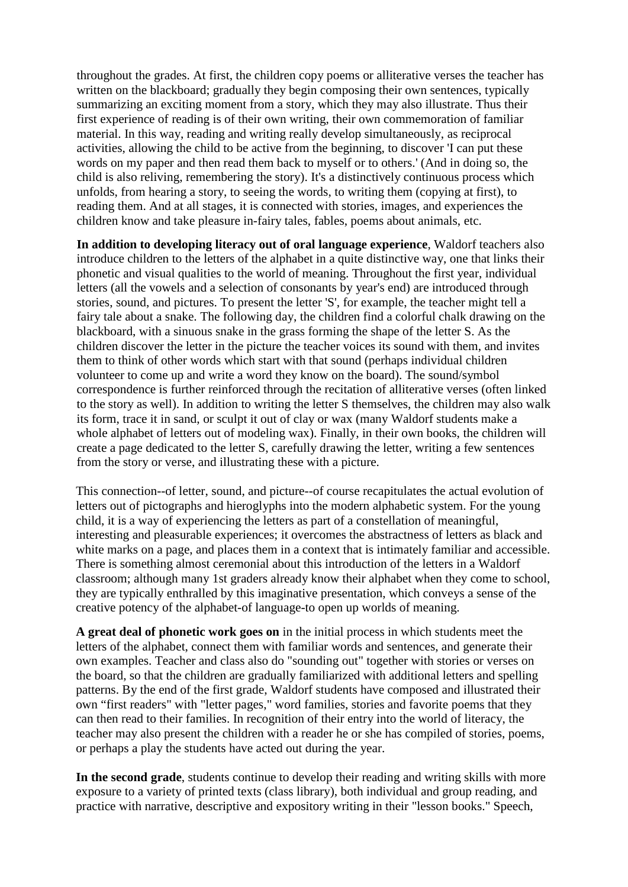throughout the grades. At first, the children copy poems or alliterative verses the teacher has written on the blackboard; gradually they begin composing their own sentences, typically summarizing an exciting moment from a story, which they may also illustrate. Thus their first experience of reading is of their own writing, their own commemoration of familiar material. In this way, reading and writing really develop simultaneously, as reciprocal activities, allowing the child to be active from the beginning, to discover 'I can put these words on my paper and then read them back to myself or to others.' (And in doing so, the child is also reliving, remembering the story). It's a distinctively continuous process which unfolds, from hearing a story, to seeing the words, to writing them (copying at first), to reading them. And at all stages, it is connected with stories, images, and experiences the children know and take pleasure in-fairy tales, fables, poems about animals, etc.

**In addition to developing literacy out of oral language experience**, Waldorf teachers also introduce children to the letters of the alphabet in a quite distinctive way, one that links their phonetic and visual qualities to the world of meaning. Throughout the first year, individual letters (all the vowels and a selection of consonants by year's end) are introduced through stories, sound, and pictures. To present the letter 'S', for example, the teacher might tell a fairy tale about a snake. The following day, the children find a colorful chalk drawing on the blackboard, with a sinuous snake in the grass forming the shape of the letter S. As the children discover the letter in the picture the teacher voices its sound with them, and invites them to think of other words which start with that sound (perhaps individual children volunteer to come up and write a word they know on the board). The sound/symbol correspondence is further reinforced through the recitation of alliterative verses (often linked to the story as well). In addition to writing the letter S themselves, the children may also walk its form, trace it in sand, or sculpt it out of clay or wax (many Waldorf students make a whole alphabet of letters out of modeling wax). Finally, in their own books, the children will create a page dedicated to the letter S, carefully drawing the letter, writing a few sentences from the story or verse, and illustrating these with a picture.

This connection--of letter, sound, and picture--of course recapitulates the actual evolution of letters out of pictographs and hieroglyphs into the modern alphabetic system. For the young child, it is a way of experiencing the letters as part of a constellation of meaningful, interesting and pleasurable experiences; it overcomes the abstractness of letters as black and white marks on a page, and places them in a context that is intimately familiar and accessible. There is something almost ceremonial about this introduction of the letters in a Waldorf classroom; although many 1st graders already know their alphabet when they come to school, they are typically enthralled by this imaginative presentation, which conveys a sense of the creative potency of the alphabet-of language-to open up worlds of meaning.

**A great deal of phonetic work goes on** in the initial process in which students meet the letters of the alphabet, connect them with familiar words and sentences, and generate their own examples. Teacher and class also do "sounding out" together with stories or verses on the board, so that the children are gradually familiarized with additional letters and spelling patterns. By the end of the first grade, Waldorf students have composed and illustrated their own "first readers" with "letter pages," word families, stories and favorite poems that they can then read to their families. In recognition of their entry into the world of literacy, the teacher may also present the children with a reader he or she has compiled of stories, poems, or perhaps a play the students have acted out during the year.

**In the second grade**, students continue to develop their reading and writing skills with more exposure to a variety of printed texts (class library), both individual and group reading, and practice with narrative, descriptive and expository writing in their "lesson books." Speech,